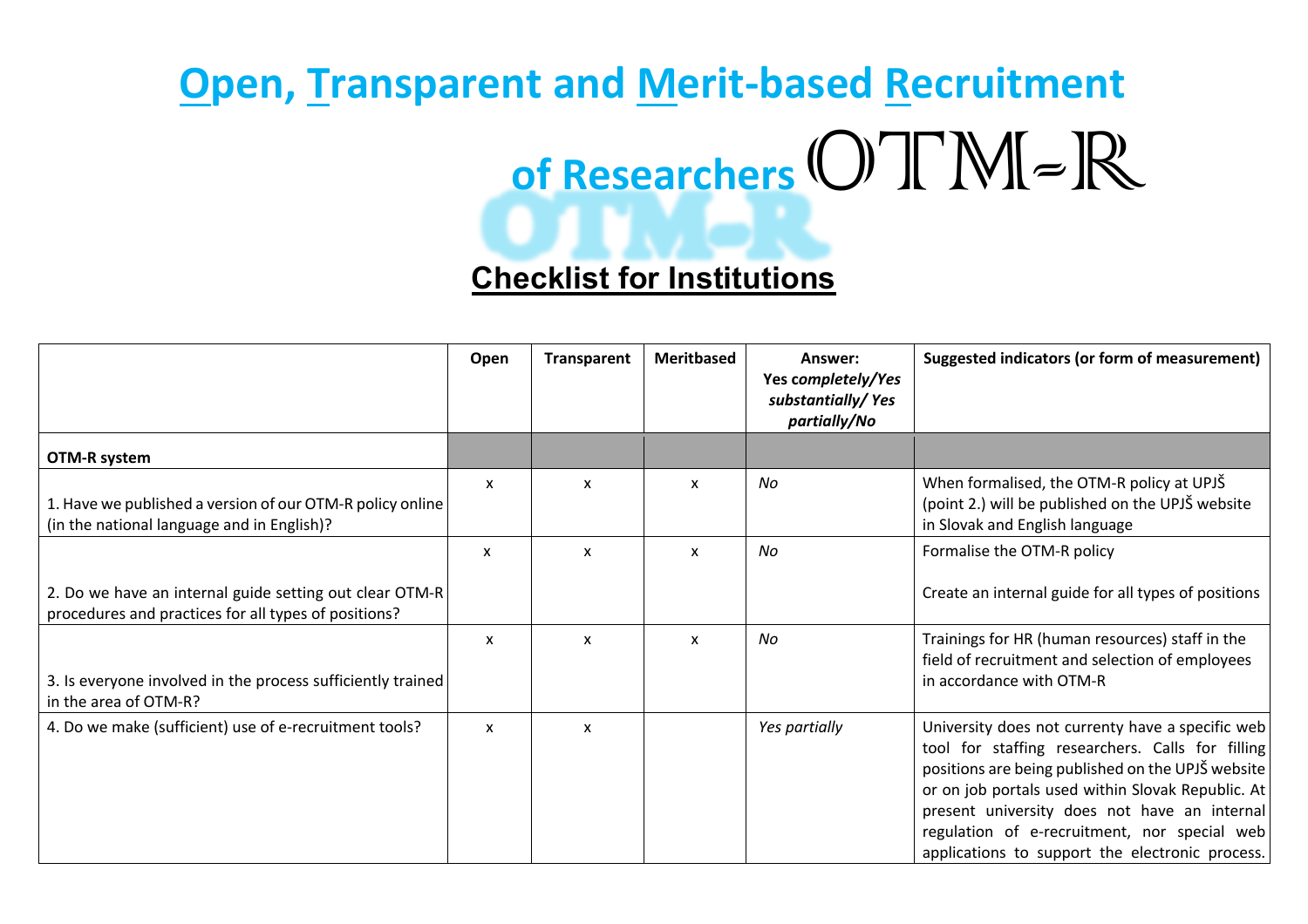## **Open, Transparent and Merit-based Recruitment** of Researchers OTM-R

## **Checklist for Institutions**

|                                                                                                                 | Open                      | <b>Transparent</b> | <b>Meritbased</b> | Answer:<br>Yes completely/Yes<br>substantially/Yes<br>partially/No | Suggested indicators (or form of measurement)                                                                                                                                                                                                                                                                                                                     |
|-----------------------------------------------------------------------------------------------------------------|---------------------------|--------------------|-------------------|--------------------------------------------------------------------|-------------------------------------------------------------------------------------------------------------------------------------------------------------------------------------------------------------------------------------------------------------------------------------------------------------------------------------------------------------------|
| OTM-R system                                                                                                    |                           |                    |                   |                                                                    |                                                                                                                                                                                                                                                                                                                                                                   |
| 1. Have we published a version of our OTM-R policy online<br>(in the national language and in English)?         | $\boldsymbol{\mathsf{x}}$ | X                  | X                 | No                                                                 | When formalised, the OTM-R policy at UPJŠ<br>(point 2.) will be published on the UPJS website<br>in Slovak and English language                                                                                                                                                                                                                                   |
|                                                                                                                 | X                         | X                  | X                 | No                                                                 | Formalise the OTM-R policy                                                                                                                                                                                                                                                                                                                                        |
| 2. Do we have an internal guide setting out clear OTM-R<br>procedures and practices for all types of positions? |                           |                    |                   |                                                                    | Create an internal guide for all types of positions                                                                                                                                                                                                                                                                                                               |
| 3. Is everyone involved in the process sufficiently trained<br>in the area of OTM-R?                            | $\boldsymbol{\mathsf{x}}$ | X                  | X                 | No                                                                 | Trainings for HR (human resources) staff in the<br>field of recruitment and selection of employees<br>in accordance with OTM-R                                                                                                                                                                                                                                    |
| 4. Do we make (sufficient) use of e-recruitment tools?                                                          | $\boldsymbol{\mathsf{x}}$ | X                  |                   | Yes partially                                                      | University does not currenty have a specific web<br>tool for staffing researchers. Calls for filling<br>positions are being published on the UPJŠ website<br>or on job portals used within Slovak Republic. At<br>present university does not have an internal<br>regulation of e-recruitment, nor special web<br>applications to support the electronic process. |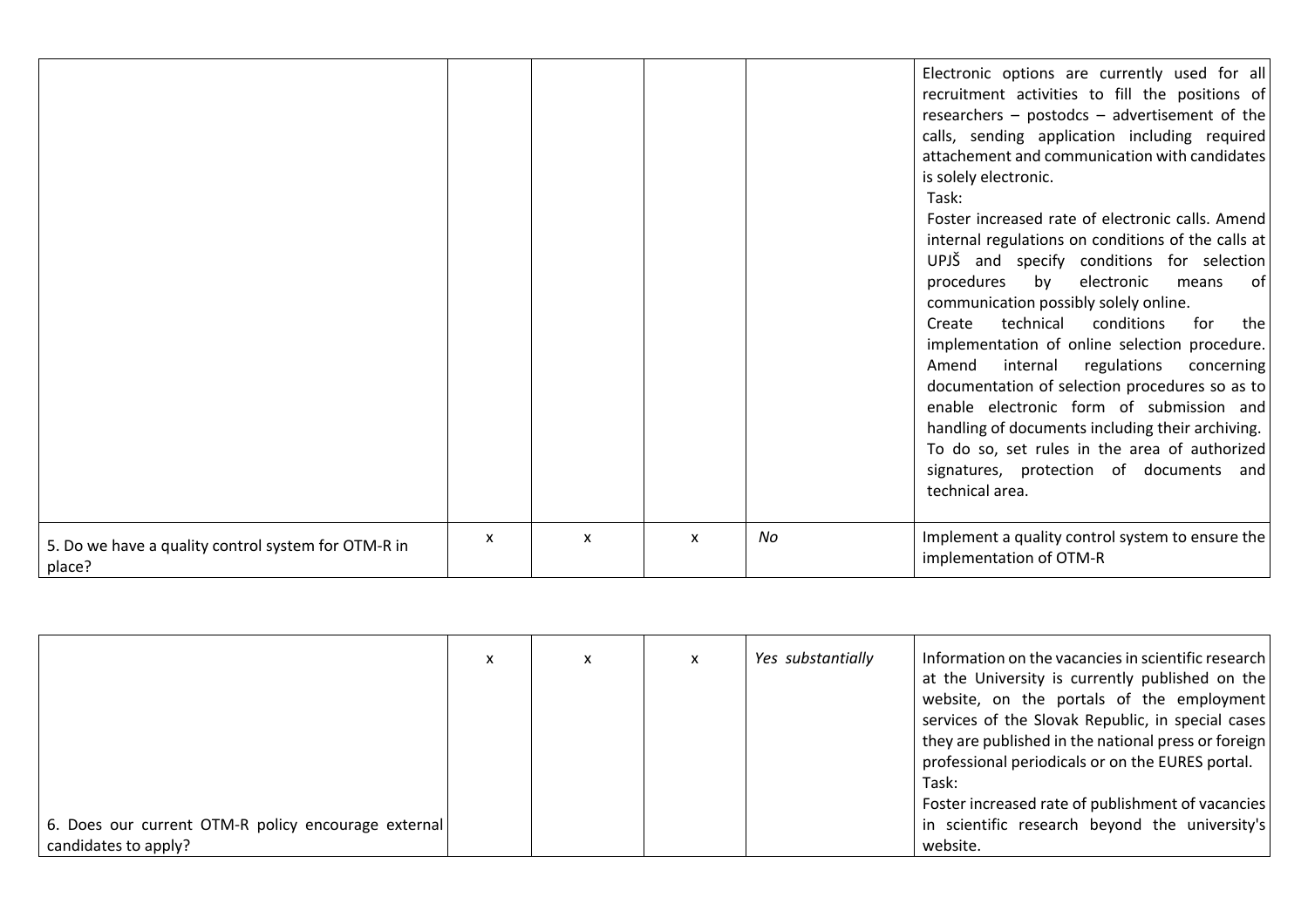|                                                               |                           |                           |                           |    | Electronic options are currently used for all<br>recruitment activities to fill the positions of<br>researchers - postodcs - advertisement of the<br>calls, sending application including required<br>attachement and communication with candidates<br>is solely electronic.<br>Task:<br>Foster increased rate of electronic calls. Amend<br>internal regulations on conditions of the calls at<br>UPJŠ and specify conditions for selection<br>procedures<br>by electronic<br>means<br>. of<br>communication possibly solely online.<br>technical<br>conditions<br>for<br>the<br>Create<br>implementation of online selection procedure.<br>internal<br>regulations<br>Amend<br>concerning<br>documentation of selection procedures so as to<br>enable electronic form of submission and<br>handling of documents including their archiving.<br>To do so, set rules in the area of authorized<br>signatures, protection of documents and<br>technical area. |
|---------------------------------------------------------------|---------------------------|---------------------------|---------------------------|----|--------------------------------------------------------------------------------------------------------------------------------------------------------------------------------------------------------------------------------------------------------------------------------------------------------------------------------------------------------------------------------------------------------------------------------------------------------------------------------------------------------------------------------------------------------------------------------------------------------------------------------------------------------------------------------------------------------------------------------------------------------------------------------------------------------------------------------------------------------------------------------------------------------------------------------------------------------------|
| 5. Do we have a quality control system for OTM-R in<br>place? | $\boldsymbol{\mathsf{x}}$ | $\boldsymbol{\mathsf{x}}$ | $\boldsymbol{\mathsf{x}}$ | No | Implement a quality control system to ensure the<br>implementation of OTM-R                                                                                                                                                                                                                                                                                                                                                                                                                                                                                                                                                                                                                                                                                                                                                                                                                                                                                  |

|                                                     | x | x | Yes substantially | Information on the vacancies in scientific research |
|-----------------------------------------------------|---|---|-------------------|-----------------------------------------------------|
|                                                     |   |   |                   | at the University is currently published on the     |
|                                                     |   |   |                   | website, on the portals of the employment           |
|                                                     |   |   |                   | services of the Slovak Republic, in special cases   |
|                                                     |   |   |                   | they are published in the national press or foreign |
|                                                     |   |   |                   | professional periodicals or on the EURES portal.    |
|                                                     |   |   |                   | Task:                                               |
|                                                     |   |   |                   | Foster increased rate of publishment of vacancies   |
| 6. Does our current OTM-R policy encourage external |   |   |                   | in scientific research beyond the university's      |
| candidates to apply?                                |   |   |                   | website.                                            |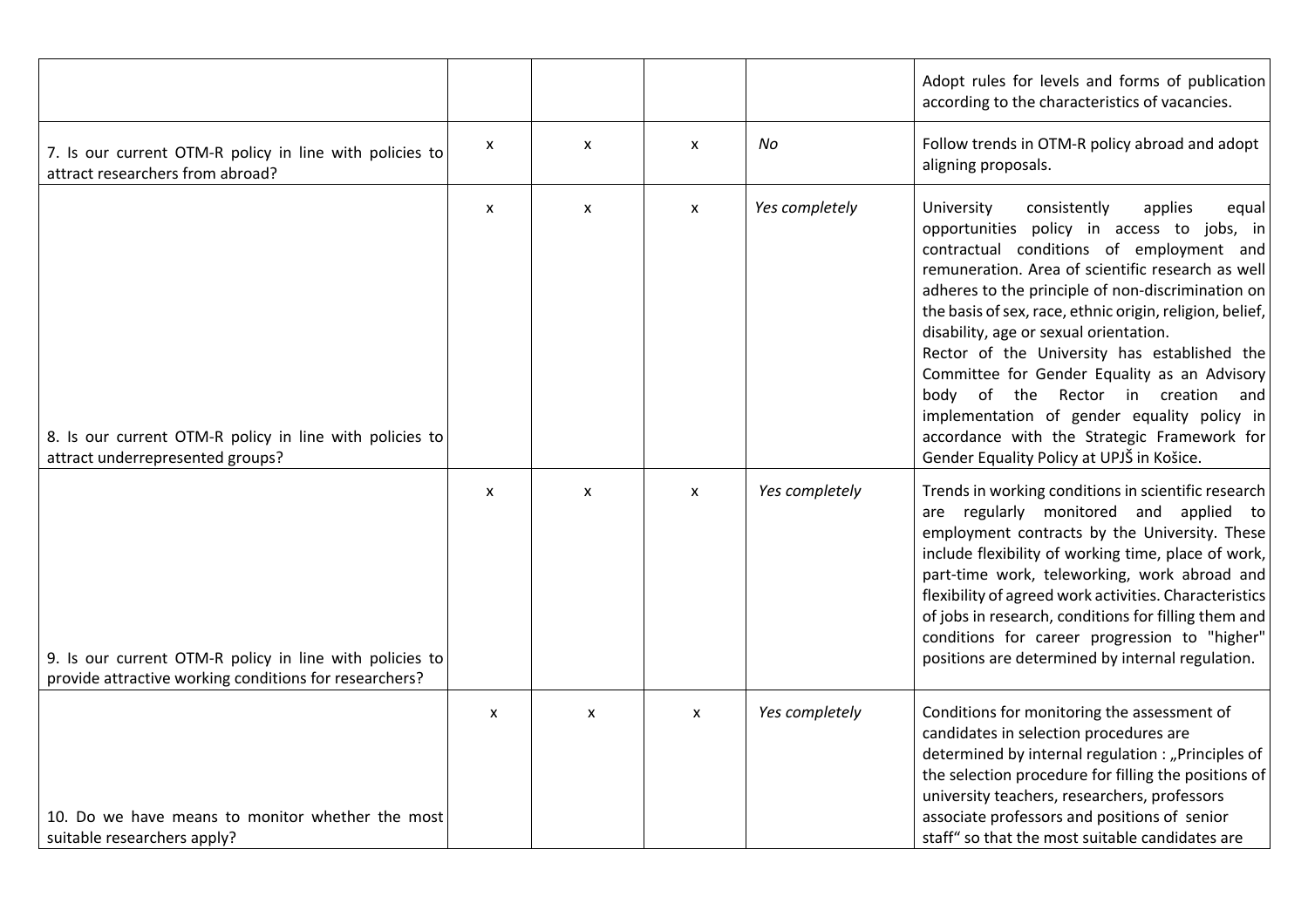|                                                                                                                   |                           |                           |                           |                | Adopt rules for levels and forms of publication<br>according to the characteristics of vacancies.                                                                                                                                                                                                                                                                                                                                                                                                                                                                                                                                         |
|-------------------------------------------------------------------------------------------------------------------|---------------------------|---------------------------|---------------------------|----------------|-------------------------------------------------------------------------------------------------------------------------------------------------------------------------------------------------------------------------------------------------------------------------------------------------------------------------------------------------------------------------------------------------------------------------------------------------------------------------------------------------------------------------------------------------------------------------------------------------------------------------------------------|
| 7. Is our current OTM-R policy in line with policies to<br>attract researchers from abroad?                       | X                         | $\boldsymbol{\mathsf{x}}$ | $\boldsymbol{\mathsf{x}}$ | No             | Follow trends in OTM-R policy abroad and adopt<br>aligning proposals.                                                                                                                                                                                                                                                                                                                                                                                                                                                                                                                                                                     |
| 8. Is our current OTM-R policy in line with policies to<br>attract underrepresented groups?                       | $\mathsf{x}$              | $\boldsymbol{\mathsf{x}}$ | $\boldsymbol{\mathsf{x}}$ | Yes completely | University<br>consistently<br>applies<br>equal<br>opportunities policy in access to jobs, in<br>contractual conditions of employment and<br>remuneration. Area of scientific research as well<br>adheres to the principle of non-discrimination on<br>the basis of sex, race, ethnic origin, religion, belief,<br>disability, age or sexual orientation.<br>Rector of the University has established the<br>Committee for Gender Equality as an Advisory<br>body of the Rector in creation and<br>implementation of gender equality policy in<br>accordance with the Strategic Framework for<br>Gender Equality Policy at UPJŠ in Košice. |
| 9. Is our current OTM-R policy in line with policies to<br>provide attractive working conditions for researchers? | X                         | $\boldsymbol{\mathsf{x}}$ | $\boldsymbol{\mathsf{x}}$ | Yes completely | Trends in working conditions in scientific research<br>are regularly monitored and applied to<br>employment contracts by the University. These<br>include flexibility of working time, place of work,<br>part-time work, teleworking, work abroad and<br>flexibility of agreed work activities. Characteristics<br>of jobs in research, conditions for filling them and<br>conditions for career progression to "higher"<br>positions are determined by internal regulation.                                                                                                                                                              |
| 10. Do we have means to monitor whether the most<br>suitable researchers apply?                                   | $\boldsymbol{\mathsf{x}}$ | X                         | X                         | Yes completely | Conditions for monitoring the assessment of<br>candidates in selection procedures are<br>determined by internal regulation : "Principles of<br>the selection procedure for filling the positions of<br>university teachers, researchers, professors<br>associate professors and positions of senior<br>staff" so that the most suitable candidates are                                                                                                                                                                                                                                                                                    |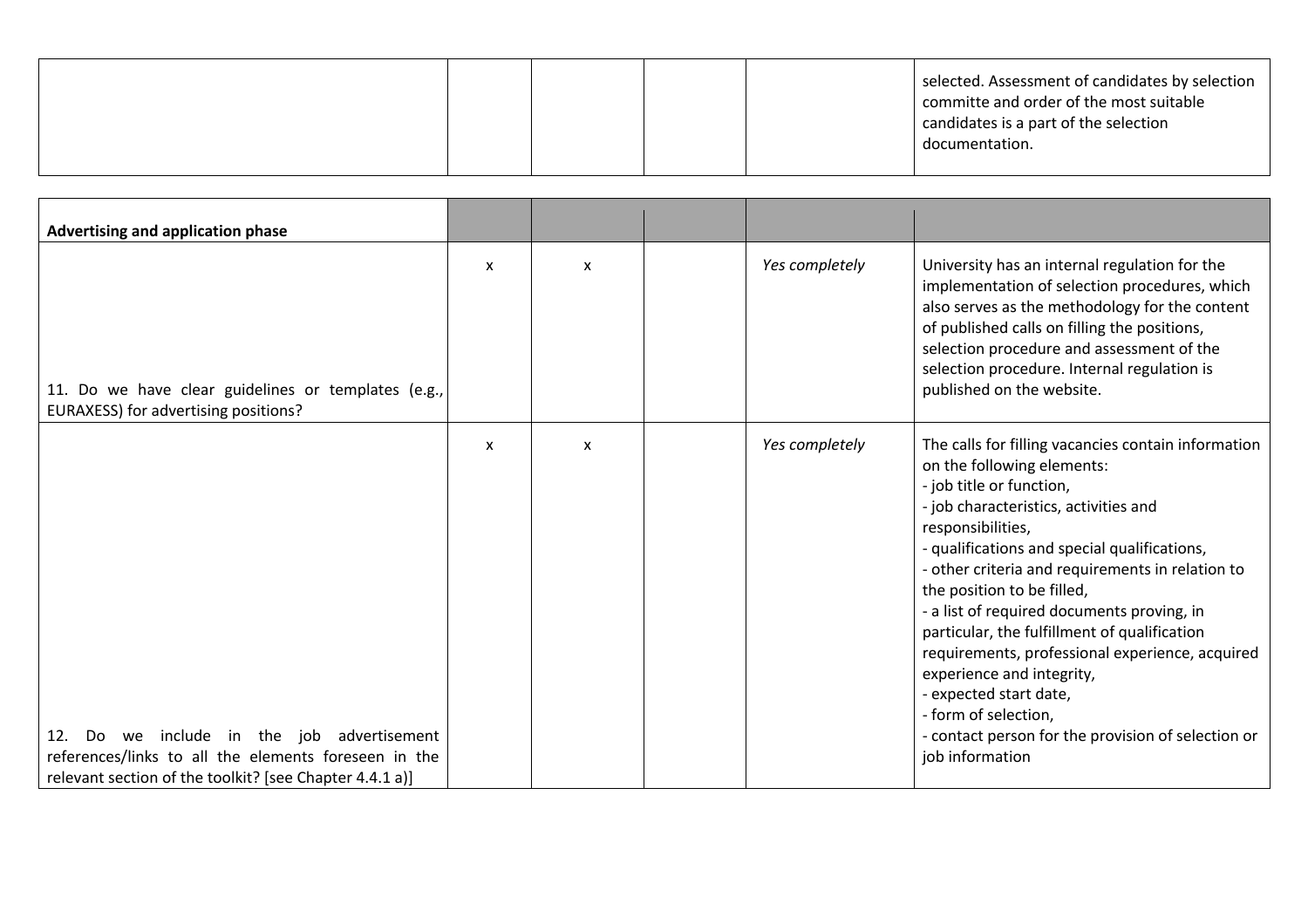|--|

| Advertising and application phase                                                                                                                                |                           |   |                |                                                                                                                                                                                                                                                                                                                                                                                                                                                                                                                                                                                                                        |
|------------------------------------------------------------------------------------------------------------------------------------------------------------------|---------------------------|---|----------------|------------------------------------------------------------------------------------------------------------------------------------------------------------------------------------------------------------------------------------------------------------------------------------------------------------------------------------------------------------------------------------------------------------------------------------------------------------------------------------------------------------------------------------------------------------------------------------------------------------------------|
| 11. Do we have clear guidelines or templates (e.g.,<br>EURAXESS) for advertising positions?                                                                      | $\boldsymbol{\mathsf{x}}$ | X | Yes completely | University has an internal regulation for the<br>implementation of selection procedures, which<br>also serves as the methodology for the content<br>of published calls on filling the positions,<br>selection procedure and assessment of the<br>selection procedure. Internal regulation is<br>published on the website.                                                                                                                                                                                                                                                                                              |
| Do we include in the job advertisement<br>12.<br>references/links to all the elements foreseen in the<br>relevant section of the toolkit? [see Chapter 4.4.1 a)] | $\boldsymbol{\mathsf{x}}$ | X | Yes completely | The calls for filling vacancies contain information<br>on the following elements:<br>- job title or function,<br>- job characteristics, activities and<br>responsibilities,<br>- qualifications and special qualifications,<br>- other criteria and requirements in relation to<br>the position to be filled,<br>- a list of required documents proving, in<br>particular, the fulfillment of qualification<br>requirements, professional experience, acquired<br>experience and integrity,<br>- expected start date,<br>- form of selection,<br>- contact person for the provision of selection or<br>job information |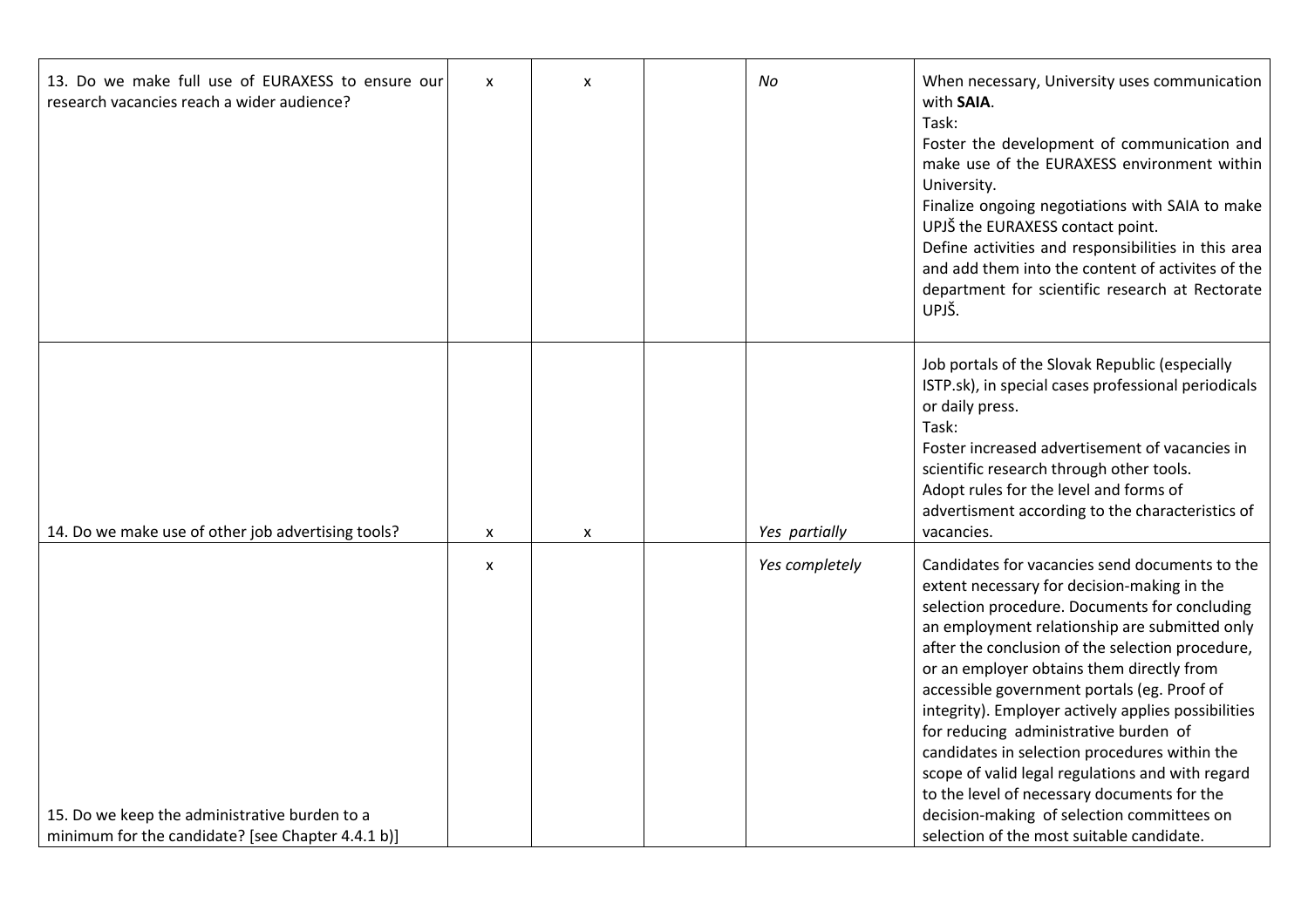| 13. Do we make full use of EURAXESS to ensure our<br>research vacancies reach a wider audience?    | $\pmb{\mathsf{X}}$ | X                  | No             | When necessary, University uses communication<br>with <b>SAIA</b> .<br>Task:<br>Foster the development of communication and<br>make use of the EURAXESS environment within<br>University.<br>Finalize ongoing negotiations with SAIA to make<br>UPJŠ the EURAXESS contact point.<br>Define activities and responsibilities in this area<br>and add them into the content of activites of the<br>department for scientific research at Rectorate<br>UPJŠ.                                                                                                                                                                                                                                       |
|----------------------------------------------------------------------------------------------------|--------------------|--------------------|----------------|------------------------------------------------------------------------------------------------------------------------------------------------------------------------------------------------------------------------------------------------------------------------------------------------------------------------------------------------------------------------------------------------------------------------------------------------------------------------------------------------------------------------------------------------------------------------------------------------------------------------------------------------------------------------------------------------|
| 14. Do we make use of other job advertising tools?                                                 | X                  | $\pmb{\mathsf{x}}$ | Yes partially  | Job portals of the Slovak Republic (especially<br>ISTP.sk), in special cases professional periodicals<br>or daily press.<br>Task:<br>Foster increased advertisement of vacancies in<br>scientific research through other tools.<br>Adopt rules for the level and forms of<br>advertisment according to the characteristics of<br>vacancies.                                                                                                                                                                                                                                                                                                                                                    |
| 15. Do we keep the administrative burden to a<br>minimum for the candidate? [see Chapter 4.4.1 b)] | $\pmb{\mathsf{X}}$ |                    | Yes completely | Candidates for vacancies send documents to the<br>extent necessary for decision-making in the<br>selection procedure. Documents for concluding<br>an employment relationship are submitted only<br>after the conclusion of the selection procedure,<br>or an employer obtains them directly from<br>accessible government portals (eg. Proof of<br>integrity). Employer actively applies possibilities<br>for reducing administrative burden of<br>candidates in selection procedures within the<br>scope of valid legal regulations and with regard<br>to the level of necessary documents for the<br>decision-making of selection committees on<br>selection of the most suitable candidate. |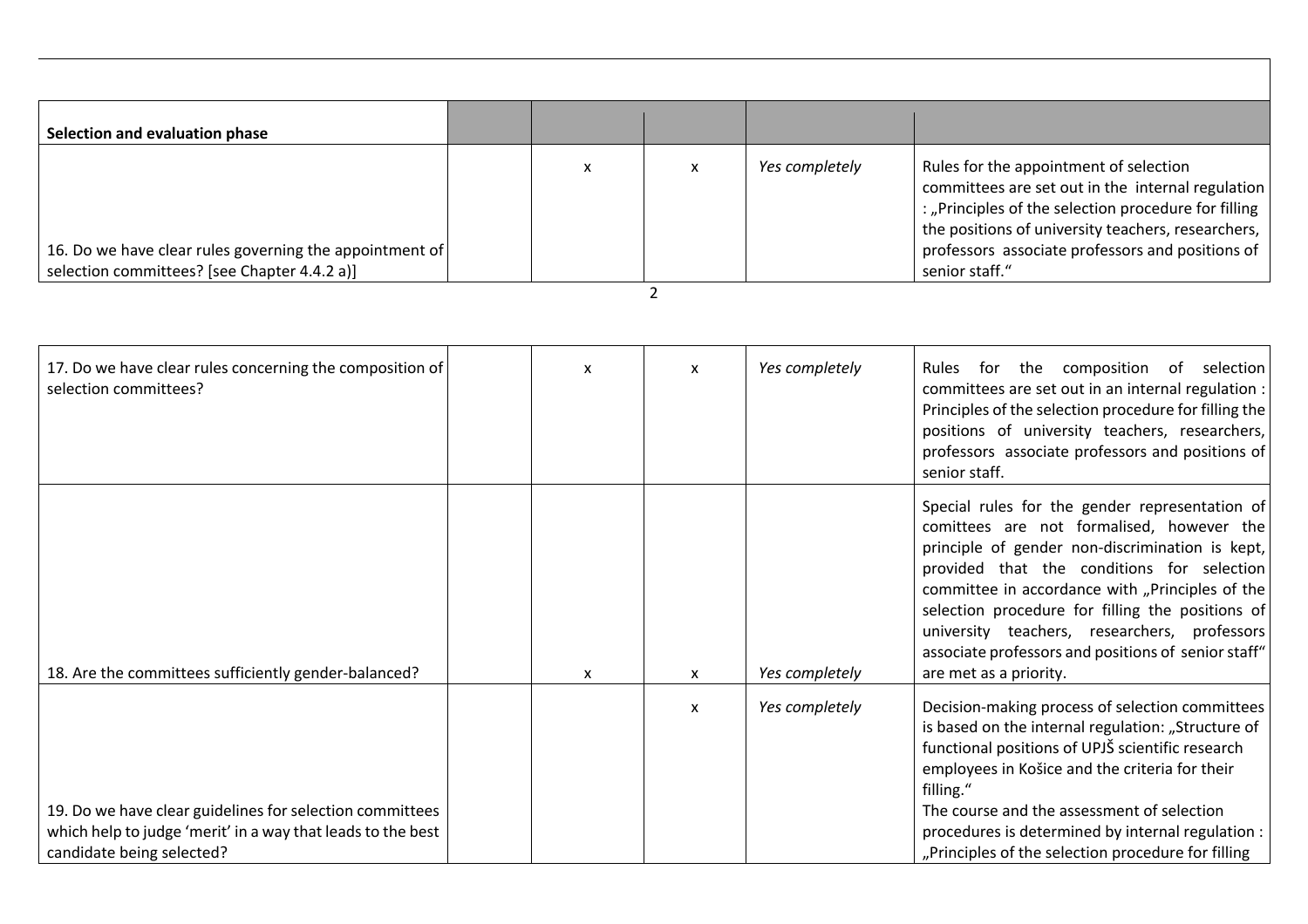| Selection and evaluation phase                          |   |                |                                                                                                                                                                                                           |
|---------------------------------------------------------|---|----------------|-----------------------------------------------------------------------------------------------------------------------------------------------------------------------------------------------------------|
|                                                         |   |                |                                                                                                                                                                                                           |
|                                                         | x | Yes completely | Rules for the appointment of selection<br>committees are set out in the internal regulation<br>: "Principles of the selection procedure for filling<br>the positions of university teachers, researchers, |
| 16. Do we have clear rules governing the appointment of |   |                | professors associate professors and positions of                                                                                                                                                          |
| selection committees? [see Chapter 4.4.2 a)]            |   |                | senior staff."                                                                                                                                                                                            |

2

| 17. Do we have clear rules concerning the composition of<br>selection committees?                                                                    | $\mathsf{x}$ | X | Yes completely | Rules for the composition of selection<br>committees are set out in an internal regulation :<br>Principles of the selection procedure for filling the<br>positions of university teachers, researchers,<br>professors associate professors and positions of<br>senior staff.                                                                                                                                                         |
|------------------------------------------------------------------------------------------------------------------------------------------------------|--------------|---|----------------|--------------------------------------------------------------------------------------------------------------------------------------------------------------------------------------------------------------------------------------------------------------------------------------------------------------------------------------------------------------------------------------------------------------------------------------|
| 18. Are the committees sufficiently gender-balanced?                                                                                                 | $\mathsf{x}$ | x | Yes completely | Special rules for the gender representation of<br>comittees are not formalised, however the<br>principle of gender non-discrimination is kept,<br>provided that the conditions for selection<br>committee in accordance with "Principles of the<br>selection procedure for filling the positions of<br>university teachers, researchers, professors<br>associate professors and positions of senior staff"<br>are met as a priority. |
| 19. Do we have clear guidelines for selection committees<br>which help to judge 'merit' in a way that leads to the best<br>candidate being selected? |              | x | Yes completely | Decision-making process of selection committees<br>is based on the internal regulation: "Structure of<br>functional positions of UPJŠ scientific research<br>employees in Košice and the criteria for their<br>filling."<br>The course and the assessment of selection<br>procedures is determined by internal regulation :<br>"Principles of the selection procedure for filling                                                    |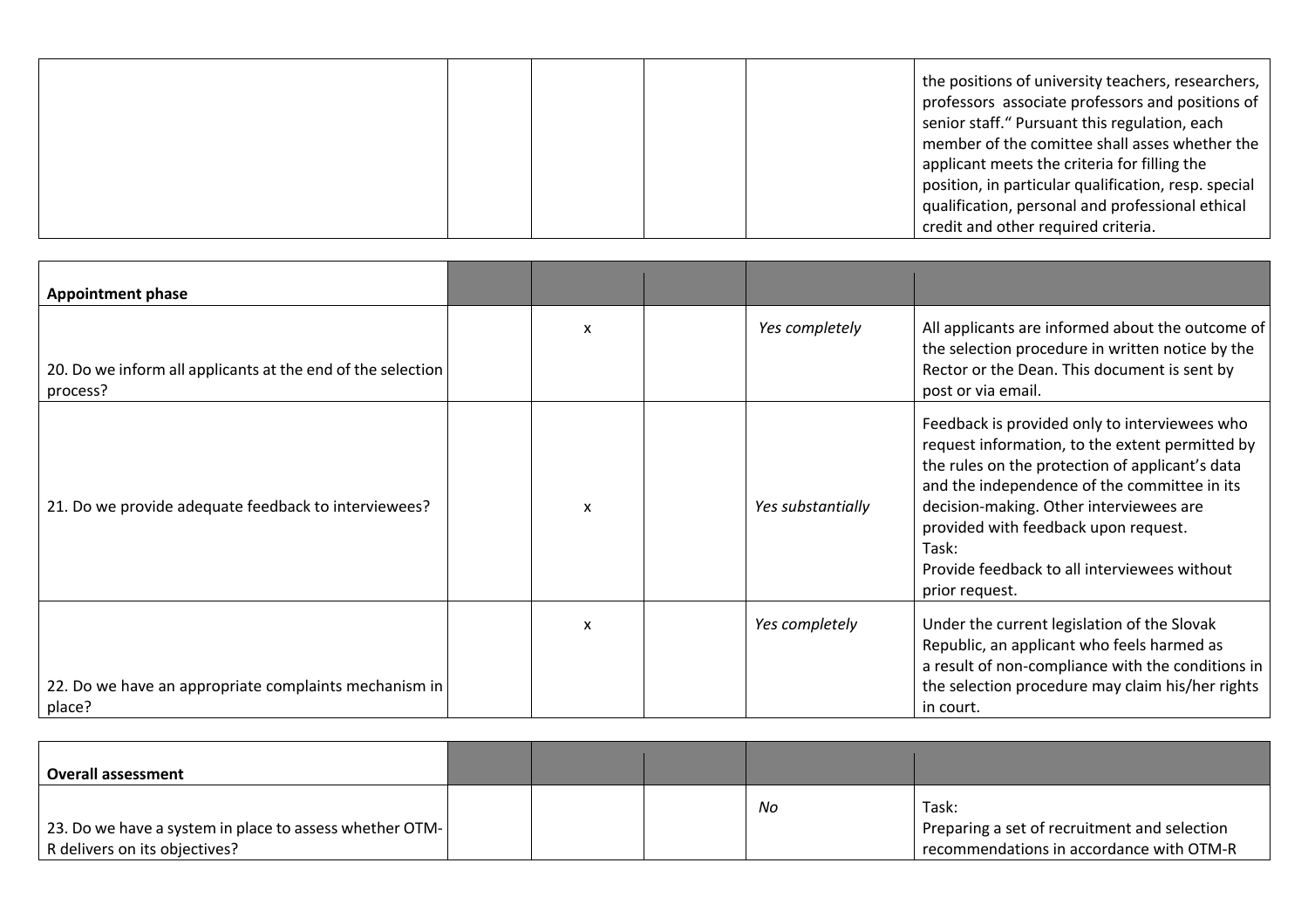|  | the positions of university teachers, researchers,<br>professors associate professors and positions of<br>senior staff." Pursuant this regulation, each<br>member of the comittee shall asses whether the<br>applicant meets the criteria for filling the<br>position, in particular qualification, resp. special<br>qualification, personal and professional ethical |
|--|-----------------------------------------------------------------------------------------------------------------------------------------------------------------------------------------------------------------------------------------------------------------------------------------------------------------------------------------------------------------------|
|  | credit and other required criteria.                                                                                                                                                                                                                                                                                                                                   |

| <b>Appointment phase</b>                                                |   |                   |                                                                                                                                                                                                                                                                                                                                                                   |
|-------------------------------------------------------------------------|---|-------------------|-------------------------------------------------------------------------------------------------------------------------------------------------------------------------------------------------------------------------------------------------------------------------------------------------------------------------------------------------------------------|
| 20. Do we inform all applicants at the end of the selection<br>process? | x | Yes completely    | All applicants are informed about the outcome of<br>the selection procedure in written notice by the<br>Rector or the Dean. This document is sent by<br>post or via email.                                                                                                                                                                                        |
| 21. Do we provide adequate feedback to interviewees?                    | X | Yes substantially | Feedback is provided only to interviewees who<br>request information, to the extent permitted by<br>the rules on the protection of applicant's data<br>and the independence of the committee in its<br>decision-making. Other interviewees are<br>provided with feedback upon request.<br>Task:<br>Provide feedback to all interviewees without<br>prior request. |
| 22. Do we have an appropriate complaints mechanism in<br>place?         | X | Yes completely    | Under the current legislation of the Slovak<br>Republic, an applicant who feels harmed as<br>a result of non-compliance with the conditions in<br>the selection procedure may claim his/her rights<br>in court.                                                                                                                                                   |

| Overall assessment                                      |  |    |                                              |
|---------------------------------------------------------|--|----|----------------------------------------------|
|                                                         |  | No | Task:                                        |
| 23. Do we have a system in place to assess whether OTM- |  |    | Preparing a set of recruitment and selection |
| R delivers on its objectives?                           |  |    | recommendations in accordance with OTM-R     |